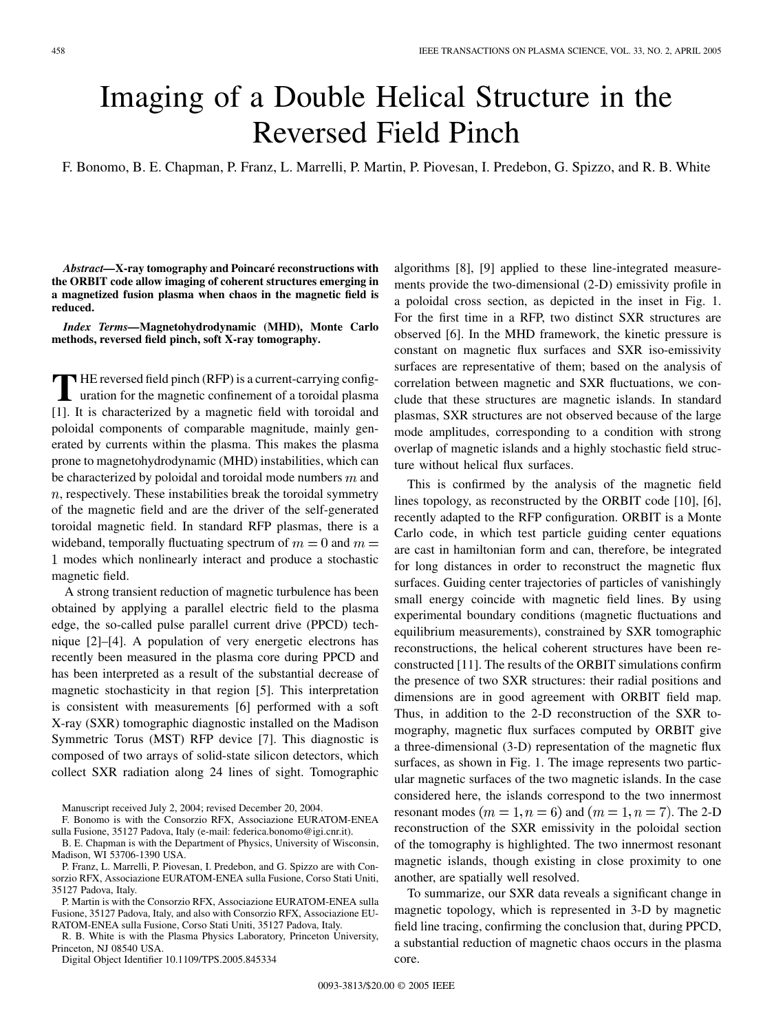## Imaging of a Double Helical Structure in the Reversed Field Pinch

F. Bonomo, B. E. Chapman, P. Franz, L. Marrelli, P. Martin, P. Piovesan, I. Predebon, G. Spizzo, and R. B. White

*Abstract—***X-ray tomography and Poincaré reconstructions with the ORBIT code allow imaging of coherent structures emerging in a magnetized fusion plasma when chaos in the magnetic field is reduced.**

*Index Terms—***Magnetohydrodynamic (MHD), Monte Carlo methods, reversed field pinch, soft X-ray tomography.**

**T** HE reversed field pinch (RFP) is a current-carrying configuration for the magnetic confinement of a toroidal plasma [[1\]](#page-1-0). It is characterized by a magnetic field with toroidal and poloidal components of comparable magnitude, mainly generated by currents within the plasma. This makes the plasma prone to magnetohydrodynamic (MHD) instabilities, which can be characterized by poloidal and toroidal mode numbers  $m$  and  $n$ , respectively. These instabilities break the toroidal symmetry of the magnetic field and are the driver of the self-generated toroidal magnetic field. In standard RFP plasmas, there is a wideband, temporally fluctuating spectrum of  $m = 0$  and  $m =$ modes which nonlinearly interact and produce a stochastic magnetic field.

A strong transient reduction of magnetic turbulence has been obtained by applying a parallel electric field to the plasma edge, the so-called pulse parallel current drive (PPCD) technique [[2\]](#page-1-0)–[\[4](#page-1-0)]. A population of very energetic electrons has recently been measured in the plasma core during PPCD and has been interpreted as a result of the substantial decrease of magnetic stochasticity in that region [[5\]](#page-1-0). This interpretation is consistent with measurements [[6\]](#page-1-0) performed with a soft X-ray (SXR) tomographic diagnostic installed on the Madison Symmetric Torus (MST) RFP device [\[7](#page-1-0)]. This diagnostic is composed of two arrays of solid-state silicon detectors, which collect SXR radiation along 24 lines of sight. Tomographic

Manuscript received July 2, 2004; revised December 20, 2004.

B. E. Chapman is with the Department of Physics, University of Wisconsin, Madison, WI 53706-1390 USA.

P. Franz, L. Marrelli, P. Piovesan, I. Predebon, and G. Spizzo are with Consorzio RFX, Associazione EURATOM-ENEA sulla Fusione, Corso Stati Uniti, 35127 Padova, Italy.

P. Martin is with the Consorzio RFX, Associazione EURATOM-ENEA sulla Fusione, 35127 Padova, Italy, and also with Consorzio RFX, Associazione EU-RATOM-ENEA sulla Fusione, Corso Stati Uniti, 35127 Padova, Italy.

R. B. White is with the Plasma Physics Laboratory, Princeton University, Princeton, NJ 08540 USA.

Digital Object Identifier 10.1109/TPS.2005.845334

algorithms [[8\]](#page-1-0), [\[9](#page-1-0)] applied to these line-integrated measurements provide the two-dimensional (2-D) emissivity profile in a poloidal cross section, as depicted in the inset in Fig. 1. For the first time in a RFP, two distinct SXR structures are observed [\[6](#page-1-0)]. In the MHD framework, the kinetic pressure is constant on magnetic flux surfaces and SXR iso-emissivity surfaces are representative of them; based on the analysis of correlation between magnetic and SXR fluctuations, we conclude that these structures are magnetic islands. In standard plasmas, SXR structures are not observed because of the large mode amplitudes, corresponding to a condition with strong overlap of magnetic islands and a highly stochastic field structure without helical flux surfaces.

This is confirmed by the analysis of the magnetic field lines topology, as reconstructed by the ORBIT code [[10\]](#page-1-0), [[6\]](#page-1-0), recently adapted to the RFP configuration. ORBIT is a Monte Carlo code, in which test particle guiding center equations are cast in hamiltonian form and can, therefore, be integrated for long distances in order to reconstruct the magnetic flux surfaces. Guiding center trajectories of particles of vanishingly small energy coincide with magnetic field lines. By using experimental boundary conditions (magnetic fluctuations and equilibrium measurements), constrained by SXR tomographic reconstructions, the helical coherent structures have been reconstructed [\[11\]](#page-1-0). The results of the ORBIT simulations confirm the presence of two SXR structures: their radial positions and dimensions are in good agreement with ORBIT field map. Thus, in addition to the 2-D reconstruction of the SXR tomography, magnetic flux surfaces computed by ORBIT give a three-dimensional (3-D) representation of the magnetic flux surfaces, as shown in Fig. 1. The image represents two particular magnetic surfaces of the two magnetic islands. In the case considered here, the islands correspond to the two innermost resonant modes  $(m = 1, n = 6)$  and  $(m = 1, n = 7)$ . The 2-D reconstruction of the SXR emissivity in the poloidal section of the tomography is highlighted. The two innermost resonant magnetic islands, though existing in close proximity to one another, are spatially well resolved.

To summarize, our SXR data reveals a significant change in magnetic topology, which is represented in 3-D by magnetic field line tracing, confirming the conclusion that, during PPCD, a substantial reduction of magnetic chaos occurs in the plasma core.

F. Bonomo is with the Consorzio RFX, Associazione EURATOM-ENEA sulla Fusione, 35127 Padova, Italy (e-mail: federica.bonomo@igi.cnr.it).